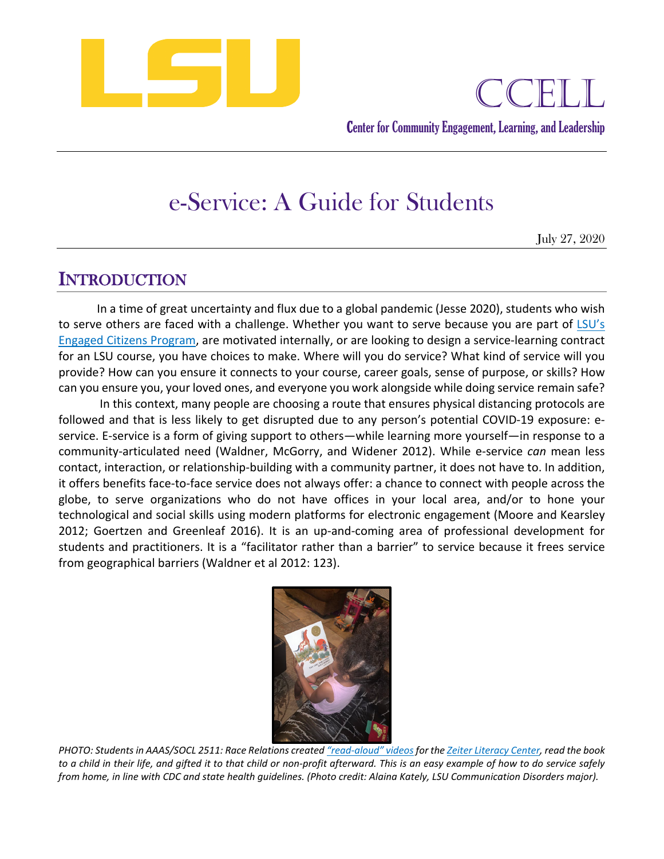

Center for Community Engagement, Learning, and Leadership

# e-Service: A Guide for Students

July 27, 2020

# INTRODUCTION

 can you ensure you, your loved ones, and everyone you work alongside while doing service remain safe? In a time of great uncertainty and flux due to a global pandemic (Jesse 2020), students who wish to serve others are faced with a challenge. Whether you want to serve because you are part of LSU's Engaged Citizens Program, are motivated internally, or are looking to design a service-learning contract for an LSU course, you have choices to make. Where will you do service? What kind of service will you provide? How can you ensure it connects to your course, career goals, sense of purpose, or skills? How

 followed and that is less likely to get disrupted due to any person's potential COVID-19 exposure: e- service. E-service is a form of giving support to others—while learning more yourself—in response to a students and practitioners. It is a "facilitator rather than a barrier" to service because it frees service In this context, many people are choosing a route that ensures physical distancing protocols are community-articulated need (Waldner, McGorry, and Widener 2012). While e-service *can* mean less contact, interaction, or relationship-building with a community partner, it does not have to. In addition, it offers benefits face-to-face service does not always offer: a chance to connect with people across the globe, to serve organizations who do not have offices in your local area, and/or to hone your technological and social skills using modern platforms for electronic engagement (Moore and Kearsley 2012; Goertzen and Greenleaf 2016). It is an up-and-coming area of professional development for from geographical barriers (Waldner et al 2012: 123).



 *PHOTO: Students in AAAS/SOCL 2511: Race Relations created "read-aloud" videos for the Zeiter Literacy Center, read the book from home, in line with CDC and state health guidelines. (Photo credit: Alaina Kately, LSU Communication Disorders major). to a child in their life, and gifted it to that child or non-profit afterward. This is an easy example of how to do service safely*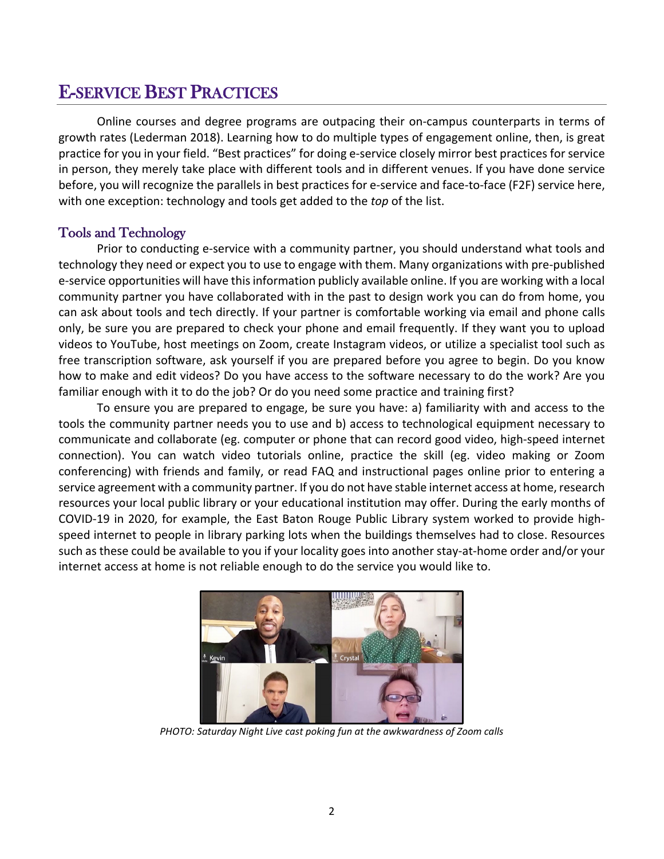# E-SERVICE BEST PRACTICES

 practice for you in your field. "Best practices" for doing e-service closely mirror best practices for service in person, they merely take place with different tools and in different venues. If you have done service with one exception: technology and tools get added to the *top* of the list. Online courses and degree programs are outpacing their on-campus counterparts in terms of growth rates (Lederman 2018). Learning how to do multiple types of engagement online, then, is great before, you will recognize the parallels in best practices for e-service and face-to-face (F2F) service here,

#### Tools and Technology

Prior to conducting e-service with a community partner, you should understand what tools and technology they need or expect you to use to engage with them. Many organizations with pre-published e-service opportunities will have this information publicly available online. If you are working with a local community partner you have collaborated with in the past to design work you can do from home, you can ask about tools and tech directly. If your partner is comfortable working via email and phone calls only, be sure you are prepared to check your phone and email frequently. If they want you to upload videos to YouTube, host meetings on Zoom, create Instagram videos, or utilize a specialist tool such as free transcription software, ask yourself if you are prepared before you agree to begin. Do you know how to make and edit videos? Do you have access to the software necessary to do the work? Are you familiar enough with it to do the job? Or do you need some practice and training first?

 communicate and collaborate (eg. computer or phone that can record good video, high-speed internet resources your local public library or your educational institution may offer. During the early months of speed internet to people in library parking lots when the buildings themselves had to close. Resources such as these could be available to you if your locality goes into another stay-at-home order and/or your To ensure you are prepared to engage, be sure you have: a) familiarity with and access to the tools the community partner needs you to use and b) access to technological equipment necessary to connection). You can watch video tutorials online, practice the skill (eg. video making or Zoom conferencing) with friends and family, or read FAQ and instructional pages online prior to entering a service agreement with a community partner. If you do not have stable internet access at home, research COVID-19 in 2020, for example, the East Baton Rouge Public Library system worked to provide highinternet access at home is not reliable enough to do the service you would like to.



 *PHOTO: Saturday Night Live cast poking fun at the awkwardness of Zoom calls*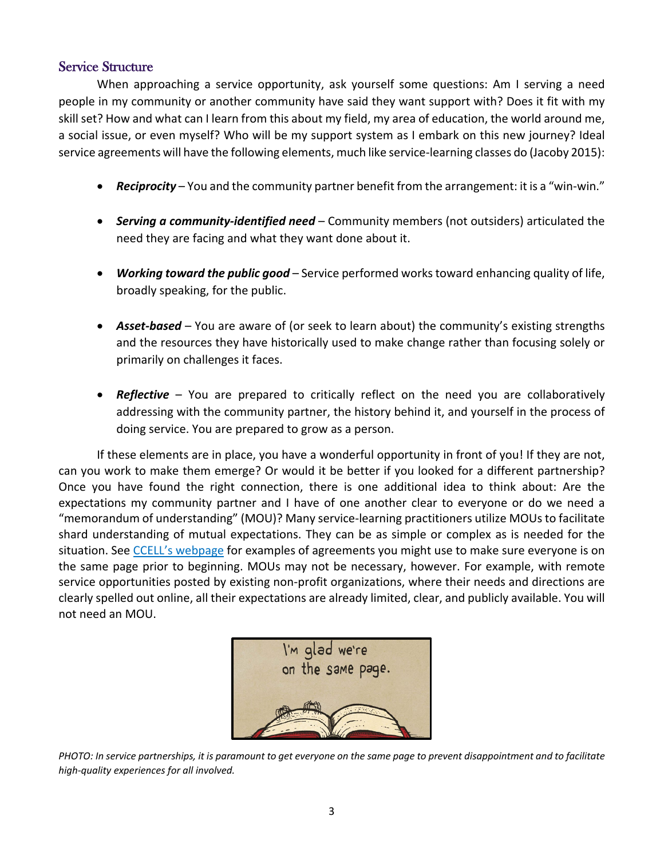#### Service Structure

When approaching a service opportunity, ask yourself some questions: Am I serving a need people in my community or another community have said they want support with? Does it fit with my skill set? How and what can I learn from this about my field, my area of education, the world around me, a social issue, or even myself? Who will be my support system as I embark on this new journey? Ideal service agreements will have the following elements, much like service-learning classes do (Jacoby 2015):

- *Reciprocity*  You and the community partner benefit from the arrangement: it is a "win-win."
- • *Serving a community-identified need*  Community members (not outsiders) articulated the need they are facing and what they want done about it.
- • *Working toward the public good*  Service performed works toward enhancing quality of life, broadly speaking, for the public.
- • *Asset-based*  You are aware of (or seek to learn about) the community's existing strengths and the resources they have historically used to make change rather than focusing solely or primarily on challenges it faces.
- • *Reflective*  You are prepared to critically reflect on the need you are collaboratively addressing with the community partner, the history behind it, and yourself in the process of doing service. You are prepared to grow as a person.

 If these elements are in place, you have a wonderful opportunity in front of you! If they are not, Once you have found the right connection, there is one additional idea to think about: Are the situation. See *CCELL's webpage* for examples of agreements you might use to make sure everyone is on can you work to make them emerge? Or would it be better if you looked for a different partnership? expectations my community partner and I have of one another clear to everyone or do we need a "memorandum of understanding" (MOU)? Many service-learning practitioners utilize MOUs to facilitate shard understanding of mutual expectations. They can be as simple or complex as is needed for the the same page prior to beginning. MOUs may not be necessary, however. For example, with remote service opportunities posted by existing non-profit organizations, where their needs and directions are clearly spelled out online, all their expectations are already limited, clear, and publicly available. You will not need an MOU.



 *high-quality experiences for all involved. PHOTO: In service partnerships, it is paramount to get everyone on the same page to prevent disappointment and to facilitate*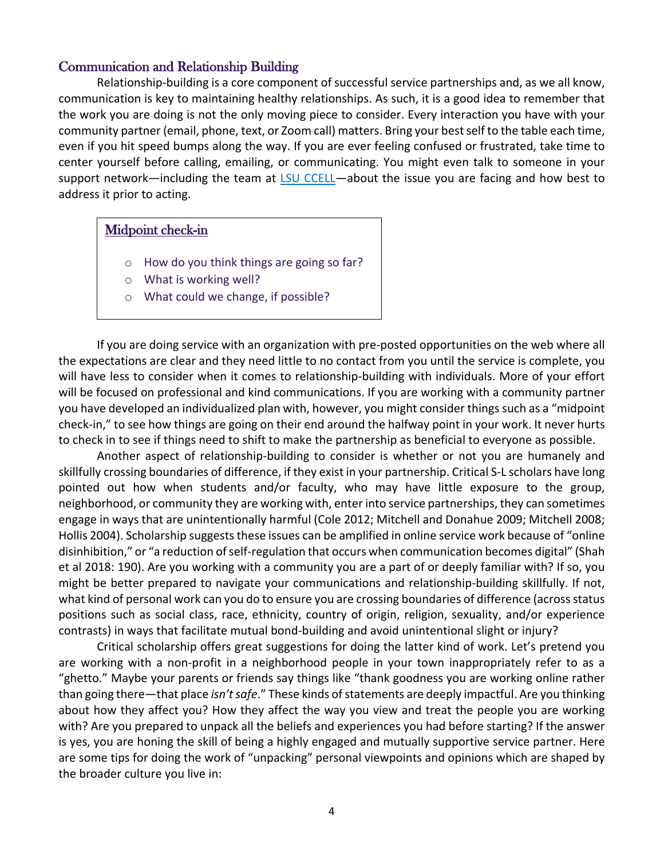#### Communication and Relationship Building

 even if you hit speed bumps along the way. If you are ever feeling confused or frustrated, take time to Relationship-building is a core component of successful service partnerships and, as we all know, communication is key to maintaining healthy relationships. As such, it is a good idea to remember that the work you are doing is not the only moving piece to consider. Every interaction you have with your community partner (email, phone, text, or Zoom call) matters. Bring your best self to the table each time, center yourself before calling, emailing, or communicating. You might even talk to someone in your support network—including the team at LSU CCELL—about the issue you are facing and how best to address it prior to acting.

#### Midpoint check-in

- o How do you think things are going so far?
- o What is working well?
- o What could we change, if possible?

 If you are doing service with an organization with pre-posted opportunities on the web where all the expectations are clear and they need little to no contact from you until the service is complete, you will have less to consider when it comes to relationship-building with individuals. More of your effort will be focused on professional and kind communications. If you are working with a community partner you have developed an individualized plan with, however, you might consider things such as a "midpoint check-in," to see how things are going on their end around the halfway point in your work. It never hurts to check in to see if things need to shift to make the partnership as beneficial to everyone as possible.

 pointed out how when students and/or faculty, who may have little exposure to the group, Another aspect of relationship-building to consider is whether or not you are humanely and skillfully crossing boundaries of difference, if they exist in your partnership. Critical S-L scholars have long neighborhood, or community they are working with, enter into service partnerships, they can sometimes engage in ways that are unintentionally harmful (Cole 2012; Mitchell and Donahue 2009; Mitchell 2008; Hollis 2004). Scholarship suggests these issues can be amplified in online service work because of "online disinhibition," or "a reduction of self-regulation that occurs when communication becomes digital" (Shah et al 2018: 190). Are you working with a community you are a part of or deeply familiar with? If so, you might be better prepared to navigate your communications and relationship-building skillfully. If not, what kind of personal work can you do to ensure you are crossing boundaries of difference (across status positions such as social class, race, ethnicity, country of origin, religion, sexuality, and/or experience contrasts) in ways that facilitate mutual bond-building and avoid unintentional slight or injury?

 Critical scholarship offers great suggestions for doing the latter kind of work. Let's pretend you are working with a non-profit in a neighborhood people in your town inappropriately refer to as a "ghetto." Maybe your parents or friends say things like "thank goodness you are working online rather than going there—that place *isn't safe*." These kinds of statements are deeply impactful. Are you thinking about how they affect you? How they affect the way you view and treat the people you are working with? Are you prepared to unpack all the beliefs and experiences you had before starting? If the answer is yes, you are honing the skill of being a highly engaged and mutually supportive service partner. Here are some tips for doing the work of "unpacking" personal viewpoints and opinions which are shaped by the broader culture you live in: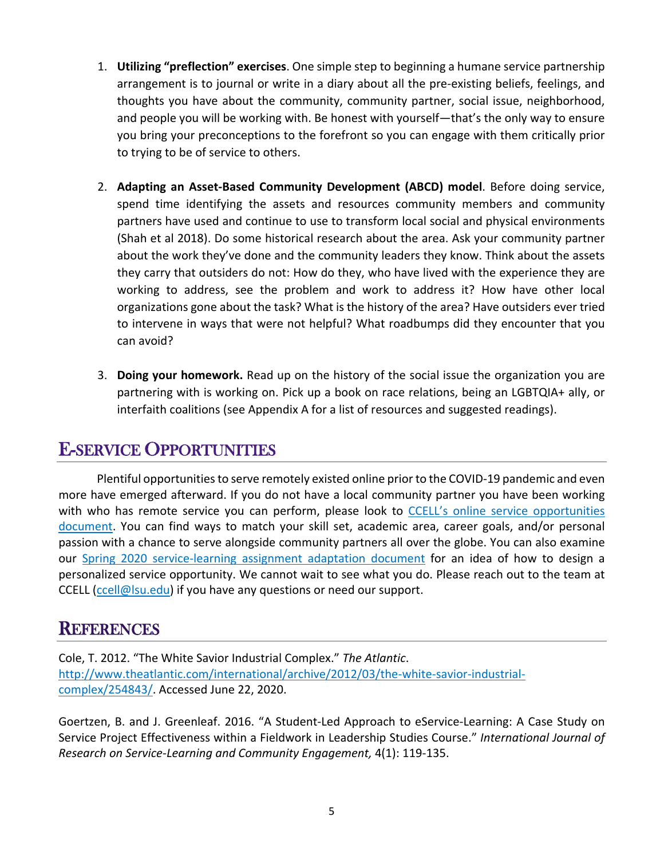- and people you will be working with. Be honest with yourself—that's the only way to ensure you bring your preconceptions to the forefront so you can engage with them critically prior 1. **Utilizing "preflection" exercises**. One simple step to beginning a humane service partnership arrangement is to journal or write in a diary about all the pre-existing beliefs, feelings, and thoughts you have about the community, community partner, social issue, neighborhood, to trying to be of service to others.
- they carry that outsiders do not: How do they, who have lived with the experience they are organizations gone about the task? What is the history of the area? Have outsiders ever tried 2. **Adapting an Asset-Based Community Development (ABCD) model**. Before doing service, spend time identifying the assets and resources community members and community partners have used and continue to use to transform local social and physical environments (Shah et al 2018). Do some historical research about the area. Ask your community partner about the work they've done and the community leaders they know. Think about the assets working to address, see the problem and work to address it? How have other local to intervene in ways that were not helpful? What roadbumps did they encounter that you can avoid?
- 3. **Doing your homework.** Read up on the history of the social issue the organization you are partnering with is working on. Pick up a book on race relations, being an LGBTQIA+ ally, or interfaith coalitions (see Appendix A for a list of resources and suggested readings).

## E-SERVICE OPPORTUNITIES

Plentiful opportunities to serve remotely existed online prior to the COVID-19 pandemic and even more have emerged afterward. If you do not have a local community partner you have been working with who has remote service you can perform, please look to CCELL's online service opportunities document. You can find ways to match your skill set, academic area, career goals, and/or personal passion with a chance to serve alongside community partners all over the globe. You can also examine our Spring 2020 service-learning assignment adaptation document for an idea of how to design a personalized service opportunity. We cannot wait to see what you do. Please reach out to the team at CCELL (ccell@lsu.edu) if you have any questions or need our support.

### **REFERENCES**

Cole, T. 2012. "The White Savior Industrial Complex." *The Atlantic*. http://www.theatlantic.com/international/archive/2012/03/the-white-savior-industrialcomplex/254843/. Accessed June 22, 2020.

Goertzen, B. and J. Greenleaf. 2016. "A Student-Led Approach to eService-Learning: A Case Study on Service Project Effectiveness within a Fieldwork in Leadership Studies Course." *International Journal of Research on Service-Learning and Community Engagement,* 4(1): 119-135.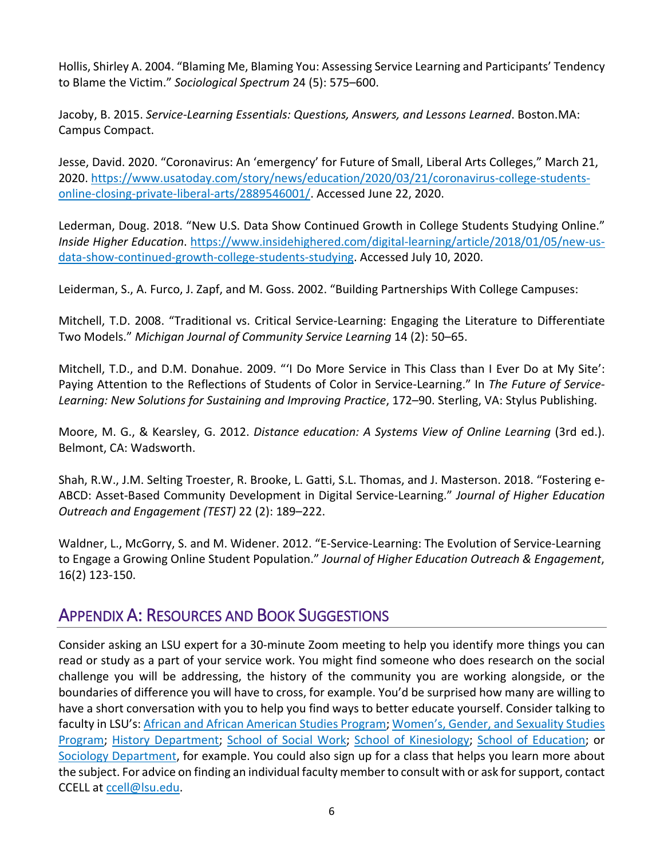Hollis, Shirley A. 2004. "Blaming Me, Blaming You: Assessing Service Learning and Participants' Tendency to Blame the Victim." *Sociological Spectrum* 24 (5): 575–600.

Campus Compact. Jacoby, B. 2015. *Service-Learning Essentials: Questions, Answers, and Lessons Learned*. [Boston.MA:](https://Boston.MA)

Jesse, David. 2020. "Coronavirus: An 'emergency' for Future of Small, Liberal Arts Colleges," March 21, 2020. https://www.usatoday.com/story/news/education/2020/03/21/coronavirus-college-studentsonline-closing-private-liberal-arts/2889546001/. Accessed June 22, 2020.

Lederman, Doug. 2018. "New U.S. Data Show Continued Growth in College Students Studying Online." *Inside Higher Education*. https://www.insidehighered.com/digital-learning/article/2018/01/05/new-usdata-show-continued-growth-college-students-studying. Accessed July 10, 2020.

Leiderman, S., A. Furco, J. Zapf, and M. Goss. 2002. "Building Partnerships With College Campuses:

 Two Models." *Michigan Journal of Community Service Learning* 14 (2): 50–65. Mitchell, T.D. 2008. "Traditional vs. Critical Service-Learning: Engaging the Literature to Differentiate

Mitchell, T.D., and D.M. Donahue. 2009. "'I Do More Service in This Class than I Ever Do at My Site': Paying Attention to the Reflections of Students of Color in Service-Learning." In *The Future of Service-Learning: New Solutions for Sustaining and Improving Practice*, 172–90. Sterling, VA: Stylus Publishing.

Moore, M. G., & Kearsley, G. 2012. *Distance education: A Systems View of Online Learning* (3rd ed.). Belmont, CA: Wadsworth.

 Shah, R.W., J.M. Selting Troester, R. Brooke, L. Gatti, S.L. Thomas, and J. Masterson. 2018. "Fostering e- *Outreach and Engagement (TEST)* 22 (2): 189–222. ABCD: Asset-Based Community Development in Digital Service-Learning." *Journal of Higher Education* 

Waldner, L., McGorry, S. and M. Widener. 2012. "E-Service-Learning: The Evolution of Service-Learning to Engage a Growing Online Student Population." *Journal of Higher Education Outreach & Engagement*, 16(2) 123-150.

## APPENDIX A: RESOURCES AND BOOK SUGGESTIONS

 read or study as a part of your service work. You might find someone who does research on the social challenge you will be addressing, the history of the community you are working alongside, or the have a short conversation with you to help you find ways to better educate yourself. Consider talking to faculty in LSU's: African and African American Studies Program; Women's, Gender, and Sexuality Studies Consider asking an LSU expert for a 30-minute Zoom meeting to help you identify more things you can boundaries of difference you will have to cross, for example. You'd be surprised how many are willing to Program; History Department; School of Social Work; School of Kinesiology; School of Education; or Sociology Department, for example. You could also sign up for a class that helps you learn more about the subject. For advice on finding an individual faculty member to consult with or ask for support, contact CCELL at ccell@lsu.edu.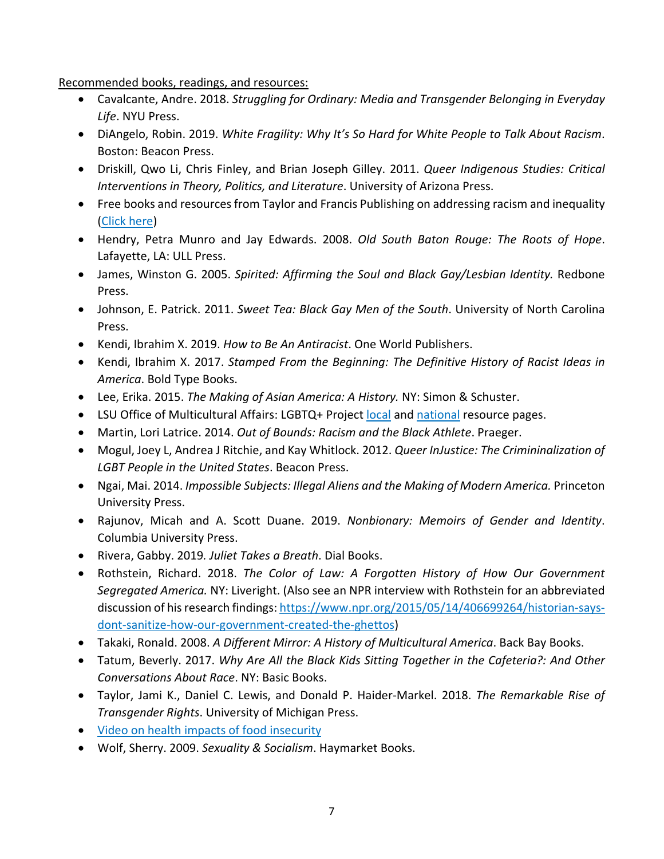Recommended books, readings, and resources:

- • Cavalcante, Andre. 2018. *Struggling for Ordinary: Media and Transgender Belonging in Everyday Life*. NYU Press.
- DiAngelo, Robin. 2019. *White Fragility: Why It's So Hard for White People to Talk About Racism*. Boston: Beacon Press.
- Driskill, Qwo Li, Chris Finley, and Brian Joseph Gilley. 2011. *Queer Indigenous Studies: Critical Interventions in Theory, Politics, and Literature*. University of Arizona Press.
- Free books and resources from Taylor and Francis Publishing on addressing racism and inequality (Click here)
- Hendry, Petra Munro and Jay Edwards. 2008. *Old South Baton Rouge: The Roots of Hope*. Lafayette, LA: ULL Press.
- • James, Winston G. 2005. *Spirited: Affirming the Soul and Black Gay/Lesbian Identity.* Redbone Press.
- Johnson, E. Patrick. 2011. *Sweet Tea: Black Gay Men of the South*. University of North Carolina Press.
- Kendi, Ibrahim X. 2019. *How to Be An Antiracist*. One World Publishers.
- Kendi, Ibrahim X. 2017. *Stamped From the Beginning: The Definitive History of Racist Ideas in America*. Bold Type Books.
- Lee, Erika. 2015. *The Making of Asian America: A History.* NY: Simon & Schuster.
- LSU Office of Multicultural Affairs: LGBTQ+ Project local and national resource pages.
- Martin, Lori Latrice. 2014. *Out of Bounds: Racism and the Black Athlete*. Praeger.
- Mogul, Joey L, Andrea J Ritchie, and Kay Whitlock. 2012. *Queer InJustice: The Crimininalization of LGBT People in the United States*. Beacon Press.
- Ngai, Mai. 2014. *Impossible Subjects: Illegal Aliens and the Making of Modern America.* Princeton University Press.
- Rajunov, Micah and A. Scott Duane. 2019. *Nonbionary: Memoirs of Gender and Identity*. Columbia University Press.
- Rivera, Gabby. 2019*. Juliet Takes a Breath*. Dial Books.
- Rothstein, Richard. 2018. *The Color of Law: A Forgotten History of How Our Government Segregated America.* NY: Liveright. (Also see an NPR interview with Rothstein for an abbreviated discussion of his research findings: https://www.npr.org/2015/05/14/406699264/historian-saysdont-sanitize-how-our-government-created-the-ghettos)
- Takaki, Ronald. 2008. *A Different Mirror: A History of Multicultural America*. Back Bay Books.
- Tatum, Beverly. 2017. *Why Are All the Black Kids Sitting Together in the Cafeteria?: And Other Conversations About Race*. NY: Basic Books.
- Taylor, Jami K., Daniel C. Lewis, and Donald P. Haider-Markel. 2018. *The Remarkable Rise of Transgender Rights*. University of Michigan Press.
- Video on health impacts of food insecurity
- Wolf, Sherry. 2009. *Sexuality & Socialism*. Haymarket Books.